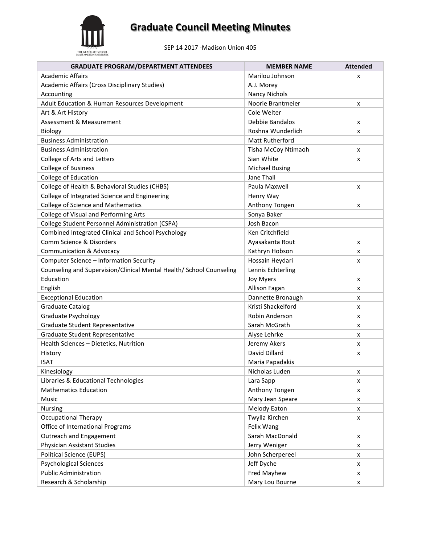

SEP 14 2017 -Madison Union 405

| <b>GRADUATE PROGRAM/DEPARTMENT ATTENDEES</b>                         | <b>MEMBER NAME</b>    | <b>Attended</b> |
|----------------------------------------------------------------------|-----------------------|-----------------|
| <b>Academic Affairs</b>                                              | Marilou Johnson       | x               |
| Academic Affairs (Cross Disciplinary Studies)                        | A.J. Morey            |                 |
| Accounting                                                           | <b>Nancy Nichols</b>  |                 |
| Adult Education & Human Resources Development                        | Noorie Brantmeier     | x               |
| Art & Art History                                                    | Cole Welter           |                 |
| Assessment & Measurement                                             | Debbie Bandalos       | x               |
| Biology                                                              | Roshna Wunderlich     | x               |
| <b>Business Administration</b>                                       | Matt Rutherford       |                 |
| <b>Business Administration</b>                                       | Tisha McCoy Ntimaoh   | x               |
| College of Arts and Letters                                          | Sian White            | x               |
| <b>College of Business</b>                                           | <b>Michael Busing</b> |                 |
| College of Education                                                 | Jane Thall            |                 |
| College of Health & Behavioral Studies (CHBS)                        | Paula Maxwell         | x               |
| College of Integrated Science and Engineering                        | Henry Way             |                 |
| <b>College of Science and Mathematics</b>                            | Anthony Tongen        | x               |
| College of Visual and Performing Arts                                | Sonya Baker           |                 |
| College Student Personnel Administration (CSPA)                      | Josh Bacon            |                 |
| Combined Integrated Clinical and School Psychology                   | Ken Critchfield       |                 |
| Comm Science & Disorders                                             | Ayasakanta Rout       | x               |
| <b>Communication &amp; Advocacy</b>                                  | Kathryn Hobson        | x               |
| Computer Science - Information Security                              | Hossain Heydari       | x               |
| Counseling and Supervision/Clinical Mental Health/ School Counseling | Lennis Echterling     |                 |
| Education                                                            | Joy Myers             | x               |
| English                                                              | Allison Fagan         | x               |
| <b>Exceptional Education</b>                                         | Dannette Bronaugh     | x               |
| <b>Graduate Catalog</b>                                              | Kristi Shackelford    | x               |
| Graduate Psychology                                                  | Robin Anderson        | X               |
| Graduate Student Representative                                      | Sarah McGrath         | x               |
| Graduate Student Representative                                      | Alyse Lehrke          | x               |
| Health Sciences - Dietetics, Nutrition                               | Jeremy Akers          | x               |
| History                                                              | David Dillard         | x               |
| <b>ISAT</b>                                                          | Maria Papadakis       |                 |
| Kinesiology                                                          | Nicholas Luden        | х               |
| Libraries & Educational Technologies                                 | Lara Sapp             | x               |
| <b>Mathematics Education</b>                                         | Anthony Tongen        | X               |
| Music                                                                | Mary Jean Speare      | x               |
| Nursing                                                              | Melody Eaton          | x               |
| <b>Occupational Therapy</b>                                          | Twylla Kirchen        | x               |
| Office of International Programs                                     | Felix Wang            |                 |
| Outreach and Engagement                                              | Sarah MacDonald       | x               |
| Physician Assistant Studies                                          | Jerry Weniger         | x               |
| <b>Political Science (EUPS)</b>                                      | John Scherpereel      | x               |
| <b>Psychological Sciences</b>                                        | Jeff Dyche            | x               |
| <b>Public Administration</b>                                         | Fred Mayhew           | x               |
| Research & Scholarship                                               | Mary Lou Bourne       | X               |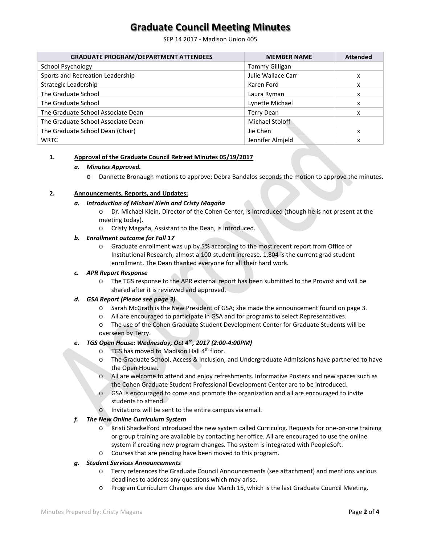SEP 14 2017 - Madison Union 405

| <b>GRADUATE PROGRAM/DEPARTMENT ATTENDEES</b> | <b>MEMBER NAME</b> | <b>Attended</b> |
|----------------------------------------------|--------------------|-----------------|
| School Psychology                            | Tammy Gilligan     |                 |
| Sports and Recreation Leadership             | Julie Wallace Carr | x               |
| Strategic Leadership                         | Karen Ford         | x               |
| The Graduate School                          | Laura Ryman        | x               |
| The Graduate School                          | Lynette Michael    | x               |
| The Graduate School Associate Dean           | Terry Dean         | x               |
| The Graduate School Associate Dean           | Michael Stoloff    |                 |
| The Graduate School Dean (Chair)             | Jie Chen           | x               |
| <b>WRTC</b>                                  | Jennifer Almield   | x               |

#### **1. Approval of the Graduate Council Retreat Minutes 05/19/2017**

#### *a. Minutes Approved.*

o Dannette Bronaugh motions to approve; Debra Bandalos seconds the motion to approve the minutes.

#### **2. Announcements, Reports, and Updates:**

#### *a. Introduction of Michael Klein and Cristy Magaña*

- o Dr. Michael Klein, Director of the Cohen Center, is introduced (though he is not present at the meeting today).
- o Cristy Magaña, Assistant to the Dean, is introduced.

#### *b. Enrollment outcome for Fall 17*

o Graduate enrollment was up by 5% according to the most recent report from Office of Institutional Research, almost a 100-student increase. 1,804 is the current grad student enrollment. The Dean thanked everyone for all their hard work.

#### *c. APR Report Response*

o The TGS response to the APR external report has been submitted to the Provost and will be shared after it is reviewed and approved.

#### *d. GSA Report (Please see page 3)*

- o Sarah McGrath is the New President of GSA; she made the announcement found on page 3.
- o All are encouraged to participate in GSA and for programs to select Representatives.
- o The use of the Cohen Graduate Student Development Center for Graduate Students will be overseen by Terry.

#### *e. TGS Open House: Wednesday, Oct 4th, 2017 (2:00-4:00PM)*

- $\circ$  TGS has moved to Madison Hall 4<sup>th</sup> floor.
- o The Graduate School, Access & Inclusion, and Undergraduate Admissions have partnered to have the Open House.
- o All are welcome to attend and enjoy refreshments. Informative Posters and new spaces such as the Cohen Graduate Student Professional Development Center are to be introduced.
- o GSA is encouraged to come and promote the organization and all are encouraged to invite students to attend.
- o Invitations will be sent to the entire campus via email.

#### *f. The New Online Curriculum System*

- o Kristi Shackelford introduced the new system called Curriculog. Requests for one-on-one training or group training are available by contacting her office. All are encouraged to use the online system if creating new program changes. The system is integrated with PeopleSoft.
- o Courses that are pending have been moved to this program.

#### *g. Student Services Announcements*

- o Terry references the Graduate Council Announcements (see attachment) and mentions various deadlines to address any questions which may arise.
- o Program Curriculum Changes are due March 15, which is the last Graduate Council Meeting.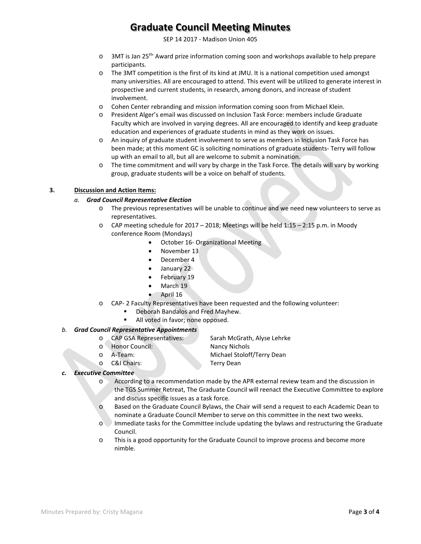SEP 14 2017 - Madison Union 405

- o 3MT is Jan 25th- Award prize information coming soon and workshops available to help prepare participants.
- o The 3MT competition is the first of its kind at JMU. It is a national competition used amongst many universities. All are encouraged to attend. This event will be utilized to generate interest in prospective and current students, in research, among donors, and increase of student involvement.
- o Cohen Center rebranding and mission information coming soon from Michael Klein.
- o President Alger's email was discussed on Inclusion Task Force: members include Graduate Faculty which are involved in varying degrees. All are encouraged to identify and keep graduate education and experiences of graduate students in mind as they work on issues.
- o An inquiry of graduate student involvement to serve as members in Inclusion Task Force has been made; at this moment GC is soliciting nominations of graduate students- Terry will follow up with an email to all, but all are welcome to submit a nomination.
- o The time commitment and will vary by charge in the Task Force. The details will vary by working group, graduate students will be a voice on behalf of students.

#### **3. Discussion and Action Items:**

#### *a. Grad Council Representative Election*

- o The previous representatives will be unable to continue and we need new volunteers to serve as representatives.
- o CAP meeting schedule for 2017 2018; Meetings will be held 1:15 2:15 p.m. in Moody conference Room (Mondays)
	- October 16- Organizational Meeting
	- November 13
	- December 4
	- January 22
	- February 19
	- March 19
	- April 16
- o CAP- 2 Faculty Representatives have been requested and the following volunteer:
	- Deborah Bandalos and Fred Mayhew.
	- All voted in favor; none opposed.

#### *b. Grad Council Representative Appointments*

- o CAP GSA Representatives: Sarah McGrath, Alyse Lehrke
- 
- 
- o C&I Chairs: Terry Dean

o Honor Council: Nancy Nichols<br>
o A-Team: Michael Stolof A-Team: Michael Stoloff/Terry Dean<br>C&I Chairs: Terry Dean<br>Terry Dean

#### *c. Executive Committee*

- o According to a recommendation made by the APR external review team and the discussion in the TGS Summer Retreat, The Graduate Council will reenact the Executive Committee to explore and discuss specific issues as a task force.
- o Based on the Graduate Council Bylaws, the Chair will send a request to each Academic Dean to nominate a Graduate Council Member to serve on this committee in the next two weeks.
- o Immediate tasks for the Committee include updating the bylaws and restructuring the Graduate Council.
- o This is a good opportunity for the Graduate Council to improve process and become more nimble.